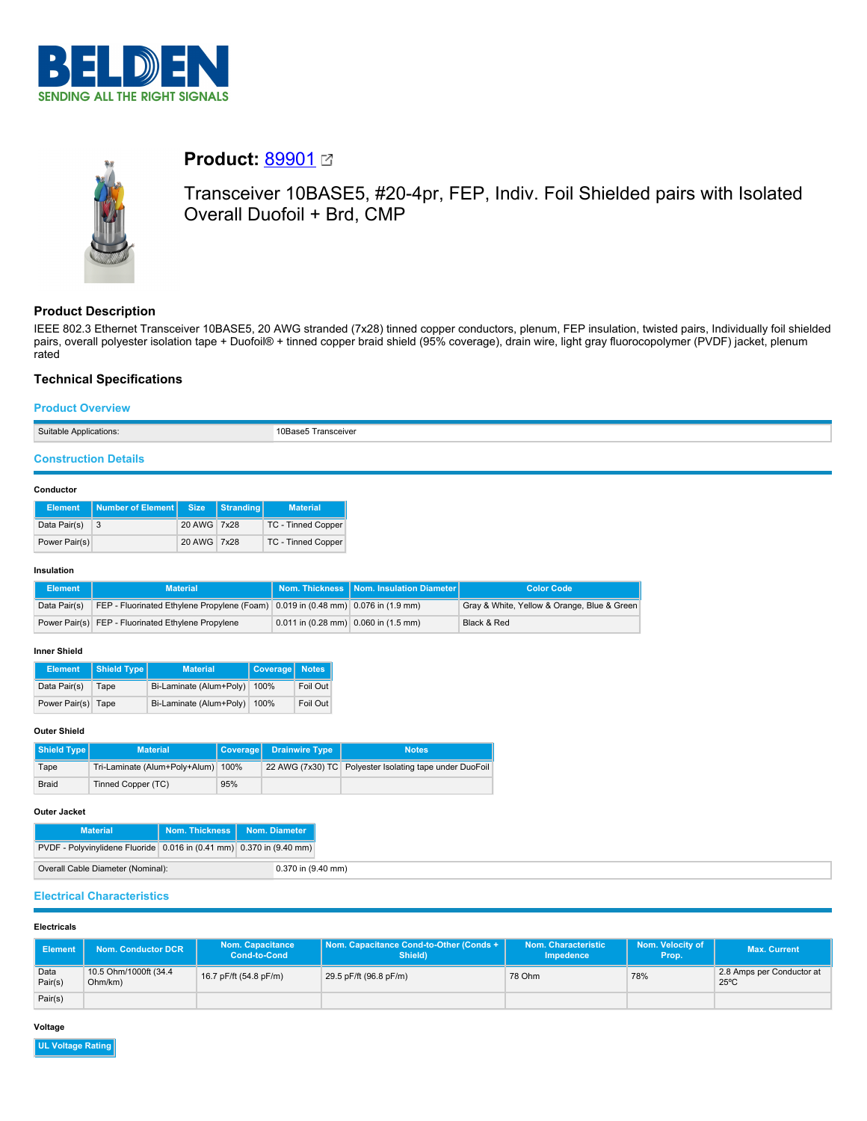



# **Product: [89901](https://catalog.belden.com/index.cfm?event=pd&p=PF_89901&tab=downloads) 2**

Transceiver 10BASE5, #20-4pr, FEP, Indiv. Foil Shielded pairs with Isolated Overall Duofoil + Brd, CMP

# **Product Description**

IEEE 802.3 Ethernet Transceiver 10BASE5, 20 AWG stranded (7x28) tinned copper conductors, plenum, FEP insulation, twisted pairs, Individually foil shielded pairs, overall polyester isolation tape + Duofoil® + tinned copper braid shield (95% coverage), drain wire, light gray fluorocopolymer (PVDF) jacket, plenum rated

# **Technical Specifications**

### **Product Overview**

Suitable Applications: 10Base5 Transceiver

# **Construction Details**

#### **Conductor**

| <b>Element</b> | Number of Element Size |             | Stranding | <b>Material</b>    |
|----------------|------------------------|-------------|-----------|--------------------|
| Data Pair(s)   | 3                      | 20 AWG 7x28 |           | TC - Tinned Copper |
| Power Pair(s)  |                        | 20 AWG 7x28 |           | TC - Tinned Copper |

### **Insulation**

| Element      | <b>Material</b>                                                                  |                                        | Nom. Thickness   Nom. Insulation Diameter | <b>Color Code</b>                           |
|--------------|----------------------------------------------------------------------------------|----------------------------------------|-------------------------------------------|---------------------------------------------|
| Data Pair(s) | FEP - Fluorinated Ethylene Propylene (Foam) 0.019 in (0.48 mm) 0.076 in (1.9 mm) |                                        |                                           | Gray & White, Yellow & Orange, Blue & Green |
|              | Power Pair(s) FEP - Fluorinated Ethylene Propylene                               | $0.011$ in (0.28 mm) 0.060 in (1.5 mm) |                                           | Black & Red                                 |

### **Inner Shield**

| <b>Element</b>     | Shield Type | <b>Material</b>         | Coverage Notes |          |
|--------------------|-------------|-------------------------|----------------|----------|
| Data Pair(s)       | Tape        | Bi-Laminate (Alum+Poly) | 100%           | Foil Out |
| Power Pair(s) Tape |             | Bi-Laminate (Alum+Poly) | 100%           | Foil Out |

# **Outer Shield**

| Shield Type  | <b>Material</b>               |      | Coverage Drainwire Type | <b>Notes</b>                                            |
|--------------|-------------------------------|------|-------------------------|---------------------------------------------------------|
| Tape         | Tri-Laminate (Alum+Poly+Alum) | 100% |                         | 22 AWG (7x30) TC Polyester Isolating tape under DuoFoil |
| <b>Braid</b> | Tinned Copper (TC)            | 95%  |                         |                                                         |

#### **Outer Jacket**

| <b>Material</b>                                                      | Nom. Thickness   Nom. Diameter |                    |
|----------------------------------------------------------------------|--------------------------------|--------------------|
| PVDF - Polyvinylidene Fluoride 0.016 in (0.41 mm) 0.370 in (9.40 mm) |                                |                    |
| Overall Cable Diameter (Nominal):                                    |                                | 0.370 in (9.40 mm) |

# **Electrical Characteristics**

### **Electricals**

| Element         | <b>Nom. Conductor DCR</b>        | <b>Nom. Capacitance</b><br><b>Cond-to-Cond</b> | Nom. Capacitance Cond-to-Other (Conds +<br>Shield) | Nom. Characteristic<br>Impedence | Nom. Velocity of<br>Prop. | <b>Max. Current</b>                         |
|-----------------|----------------------------------|------------------------------------------------|----------------------------------------------------|----------------------------------|---------------------------|---------------------------------------------|
| Data<br>Pair(s) | 10.5 Ohm/1000ft (34.4<br>Ohm/km) | 16.7 pF/ft (54.8 pF/m)                         | 29.5 pF/ft (96.8 pF/m)                             | 78 Ohm                           | 78%                       | 2.8 Amps per Conductor at<br>$25^{\circ}$ C |
| Pair(s)         |                                  |                                                |                                                    |                                  |                           |                                             |

# **Voltage**